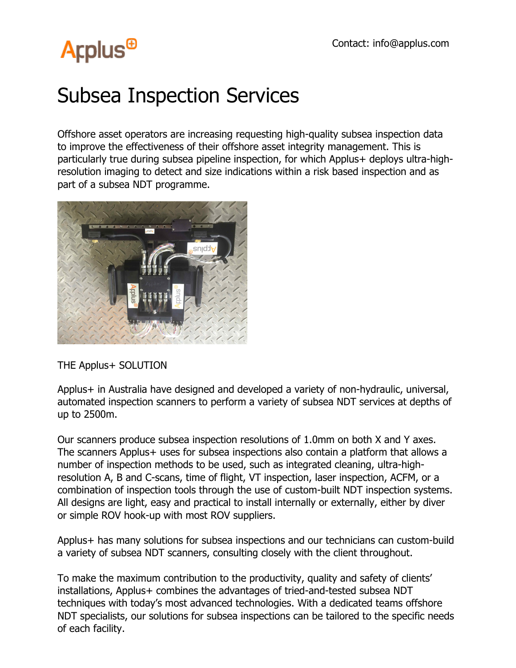## **Arplus<sup>®</sup>**

## Subsea Inspection Services

Offshore asset operators are increasing requesting high-quality subsea inspection data to improve the effectiveness of their offshore asset integrity management. This is particularly true during subsea pipeline inspection, for which Applus+ deploys ultra-highresolution imaging to detect and size indications within a risk based inspection and as part of a subsea NDT programme.



THE Applus+ SOLUTION

Applus+ in Australia have designed and developed a variety of non-hydraulic, universal, automated inspection scanners to perform a variety of subsea NDT services at depths of up to 2500m.

Our scanners produce subsea inspection resolutions of 1.0mm on both X and Y axes. The scanners Applus+ uses for subsea inspections also contain a platform that allows a number of inspection methods to be used, such as integrated cleaning, ultra-highresolution A, B and C-scans, time of flight, VT inspection, laser inspection, ACFM, or a combination of inspection tools through the use of custom-built NDT inspection systems. All designs are light, easy and practical to install internally or externally, either by diver or simple ROV hook-up with most ROV suppliers.

Applus+ has many solutions for subsea inspections and our technicians can custom-build a variety of subsea NDT scanners, consulting closely with the client throughout.

To make the maximum contribution to the productivity, quality and safety of clients' installations, Applus+ combines the advantages of tried-and-tested subsea NDT techniques with today's most advanced technologies. With a dedicated teams offshore NDT specialists, our solutions for subsea inspections can be tailored to the specific needs of each facility.